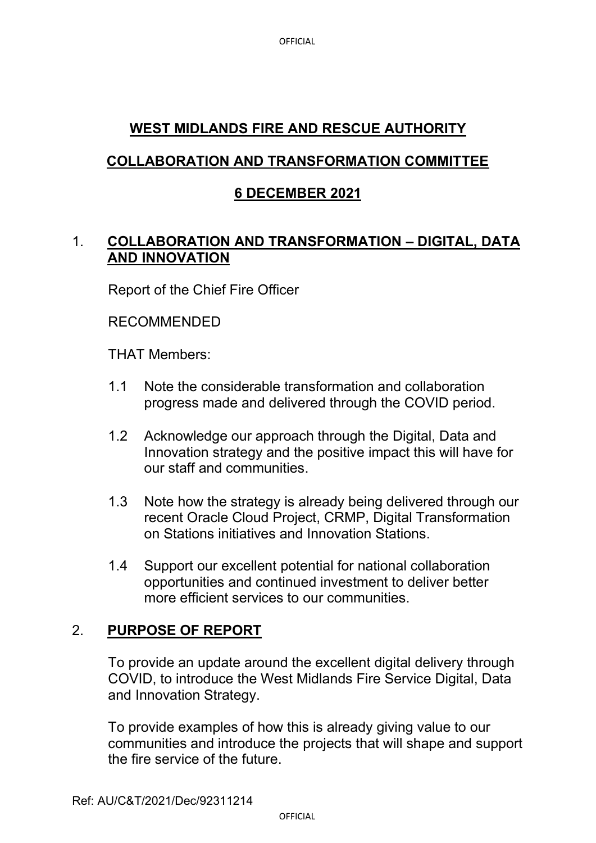# **WEST MIDLANDS FIRE AND RESCUE AUTHORITY**

## **COLLABORATION AND TRANSFORMATION COMMITTEE**

## **6 DECEMBER 2021**

## 1. **COLLABORATION AND TRANSFORMATION – DIGITAL, DATA AND INNOVATION**

Report of the Chief Fire Officer

#### RECOMMENDED

THAT Members:

- 1.1 Note the considerable transformation and collaboration progress made and delivered through the COVID period.
- 1.2 Acknowledge our approach through the Digital, Data and Innovation strategy and the positive impact this will have for our staff and communities.
- 1.3 Note how the strategy is already being delivered through our recent Oracle Cloud Project, CRMP, Digital Transformation on Stations initiatives and Innovation Stations.
- 1.4 Support our excellent potential for national collaboration opportunities and continued investment to deliver better more efficient services to our communities.

### 2. **PURPOSE OF REPORT**

To provide an update around the excellent digital delivery through COVID, to introduce the West Midlands Fire Service Digital, Data and Innovation Strategy.

To provide examples of how this is already giving value to our communities and introduce the projects that will shape and support the fire service of the future.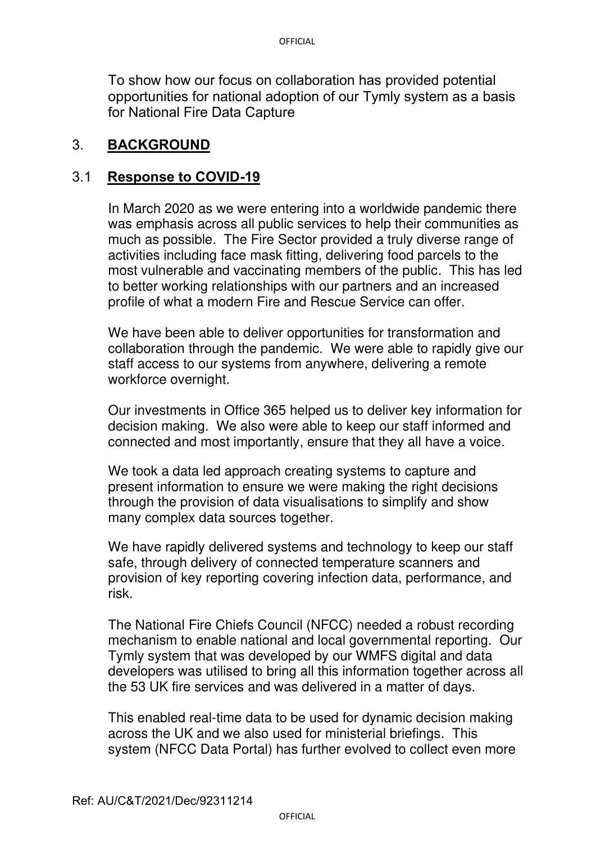To show how our focus on collaboration has provided potential opportunities for national adoption of our Tymly system as a basis for National Fire Data Capture

#### 3. **BACKGROUND**

#### 3.1 **Response to COVID-19**

In March 2020 as we were entering into a worldwide pandemic there was emphasis across all public services to help their communities as much as possible. The Fire Sector provided a truly diverse range of activities including face mask fitting, delivering food parcels to the most vulnerable and vaccinating members of the public. This has led to better working relationships with our partners and an increased profile of what a modern Fire and Rescue Service can offer.

We have been able to deliver opportunities for transformation and collaboration through the pandemic. We were able to rapidly give our staff access to our systems from anywhere, delivering a remote workforce overnight.

Our investments in Office 365 helped us to deliver key information for decision making. We also were able to keep our staff informed and connected and most importantly, ensure that they all have a voice.

We took a data led approach creating systems to capture and present information to ensure we were making the right decisions through the provision of data visualisations to simplify and show many complex data sources together.

We have rapidly delivered systems and technology to keep our staff safe, through delivery of connected temperature scanners and provision of key reporting covering infection data, performance, and risk.

The National Fire Chiefs Council (NFCC) needed a robust recording mechanism to enable national and local governmental reporting. Our Tymly system that was developed by our WMFS digital and data developers was utilised to bring all this information together across all the 53 UK fire services and was delivered in a matter of days.

This enabled real-time data to be used for dynamic decision making across the UK and we also used for ministerial briefings. This system (NFCC Data Portal) has further evolved to collect even more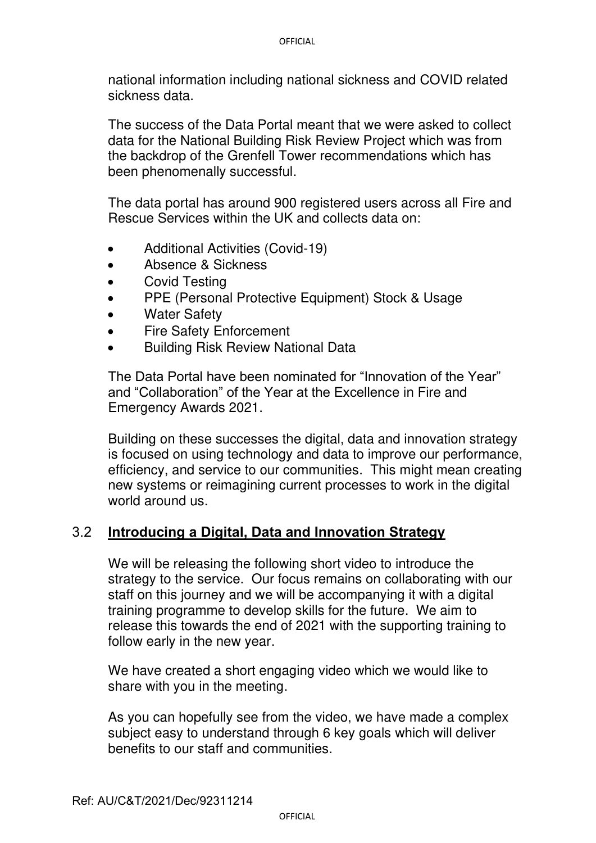national information including national sickness and COVID related sickness data.

The success of the Data Portal meant that we were asked to collect data for the National Building Risk Review Project which was from the backdrop of the Grenfell Tower recommendations which has been phenomenally successful.

The data portal has around 900 registered users across all Fire and Rescue Services within the UK and collects data on:

- Additional Activities (Covid-19)
- Absence & Sickness
- Covid Testing
- PPE (Personal Protective Equipment) Stock & Usage
- **Water Safety**
- Fire Safety Enforcement
- Building Risk Review National Data

The Data Portal have been nominated for "Innovation of the Year" and "Collaboration" of the Year at the Excellence in Fire and Emergency Awards 2021.

Building on these successes the digital, data and innovation strategy is focused on using technology and data to improve our performance, efficiency, and service to our communities. This might mean creating new systems or reimagining current processes to work in the digital world around us.

### 3.2 **Introducing a Digital, Data and Innovation Strategy**

We will be releasing the following short video to introduce the strategy to the service. Our focus remains on collaborating with our staff on this journey and we will be accompanying it with a digital training programme to develop skills for the future. We aim to release this towards the end of 2021 with the supporting training to follow early in the new year.

We have created a short engaging video which we would like to share with you in the meeting.

As you can hopefully see from the video, we have made a complex subject easy to understand through 6 key goals which will deliver benefits to our staff and communities.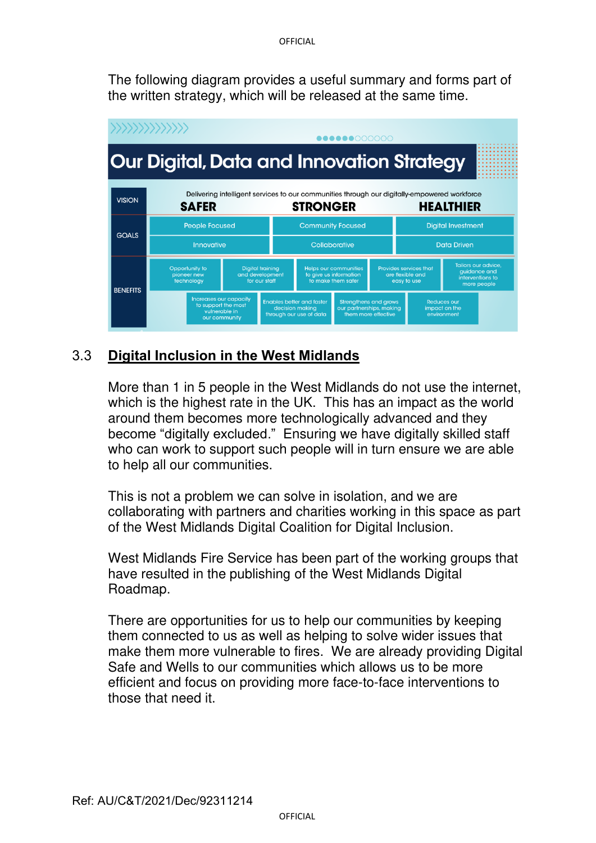The following diagram provides a useful summary and forms part of the written strategy, which will be released at the same time.



## 3.3 **Digital Inclusion in the West Midlands**

More than 1 in 5 people in the West Midlands do not use the internet, which is the highest rate in the UK. This has an impact as the world around them becomes more technologically advanced and they become "digitally excluded." Ensuring we have digitally skilled staff who can work to support such people will in turn ensure we are able to help all our communities.

This is not a problem we can solve in isolation, and we are collaborating with partners and charities working in this space as part of the West Midlands Digital Coalition for Digital Inclusion.

West Midlands Fire Service has been part of the working groups that have resulted in the publishing of the West Midlands Digital Roadmap.

There are opportunities for us to help our communities by keeping them connected to us as well as helping to solve wider issues that make them more vulnerable to fires. We are already providing Digital Safe and Wells to our communities which allows us to be more efficient and focus on providing more face-to-face interventions to those that need it.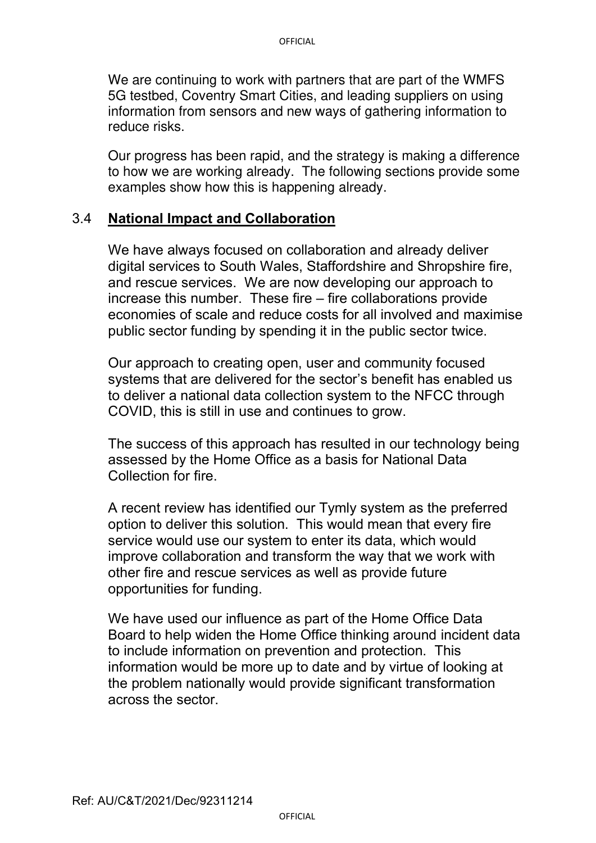We are continuing to work with partners that are part of the WMFS 5G testbed, Coventry Smart Cities, and leading suppliers on using information from sensors and new ways of gathering information to reduce risks.

Our progress has been rapid, and the strategy is making a difference to how we are working already. The following sections provide some examples show how this is happening already.

#### 3.4 **National Impact and Collaboration**

We have always focused on collaboration and already deliver digital services to South Wales, Staffordshire and Shropshire fire, and rescue services. We are now developing our approach to increase this number. These fire – fire collaborations provide economies of scale and reduce costs for all involved and maximise public sector funding by spending it in the public sector twice.

Our approach to creating open, user and community focused systems that are delivered for the sector's benefit has enabled us to deliver a national data collection system to the NFCC through COVID, this is still in use and continues to grow.

The success of this approach has resulted in our technology being assessed by the Home Office as a basis for National Data Collection for fire.

A recent review has identified our Tymly system as the preferred option to deliver this solution. This would mean that every fire service would use our system to enter its data, which would improve collaboration and transform the way that we work with other fire and rescue services as well as provide future opportunities for funding.

We have used our influence as part of the Home Office Data Board to help widen the Home Office thinking around incident data to include information on prevention and protection. This information would be more up to date and by virtue of looking at the problem nationally would provide significant transformation across the sector.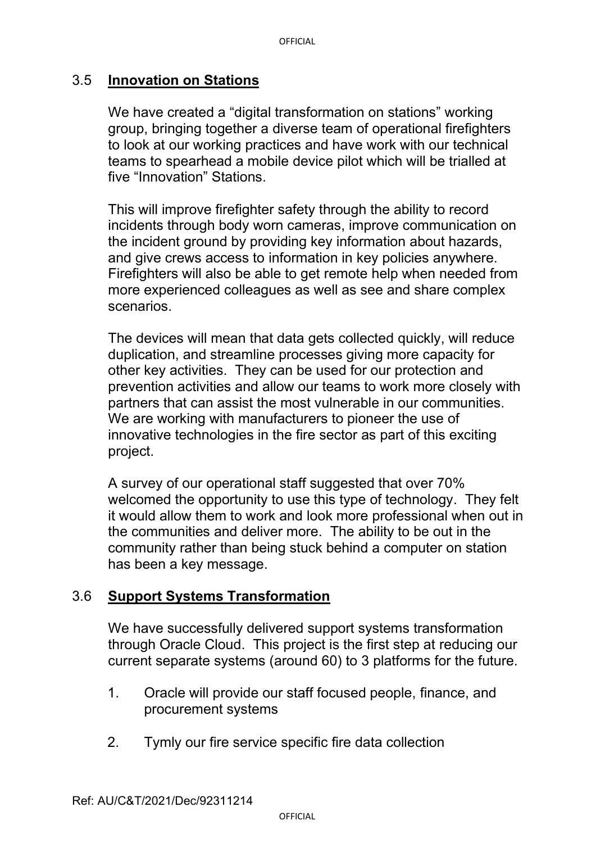## 3.5 **Innovation on Stations**

We have created a "digital transformation on stations" working group, bringing together a diverse team of operational firefighters to look at our working practices and have work with our technical teams to spearhead a mobile device pilot which will be trialled at five "Innovation" Stations.

This will improve firefighter safety through the ability to record incidents through body worn cameras, improve communication on the incident ground by providing key information about hazards, and give crews access to information in key policies anywhere. Firefighters will also be able to get remote help when needed from more experienced colleagues as well as see and share complex scenarios.

The devices will mean that data gets collected quickly, will reduce duplication, and streamline processes giving more capacity for other key activities. They can be used for our protection and prevention activities and allow our teams to work more closely with partners that can assist the most vulnerable in our communities. We are working with manufacturers to pioneer the use of innovative technologies in the fire sector as part of this exciting project.

A survey of our operational staff suggested that over 70% welcomed the opportunity to use this type of technology. They felt it would allow them to work and look more professional when out in the communities and deliver more. The ability to be out in the community rather than being stuck behind a computer on station has been a key message.

## 3.6 **Support Systems Transformation**

We have successfully delivered support systems transformation through Oracle Cloud. This project is the first step at reducing our current separate systems (around 60) to 3 platforms for the future.

- 1. Oracle will provide our staff focused people, finance, and procurement systems
- 2. Tymly our fire service specific fire data collection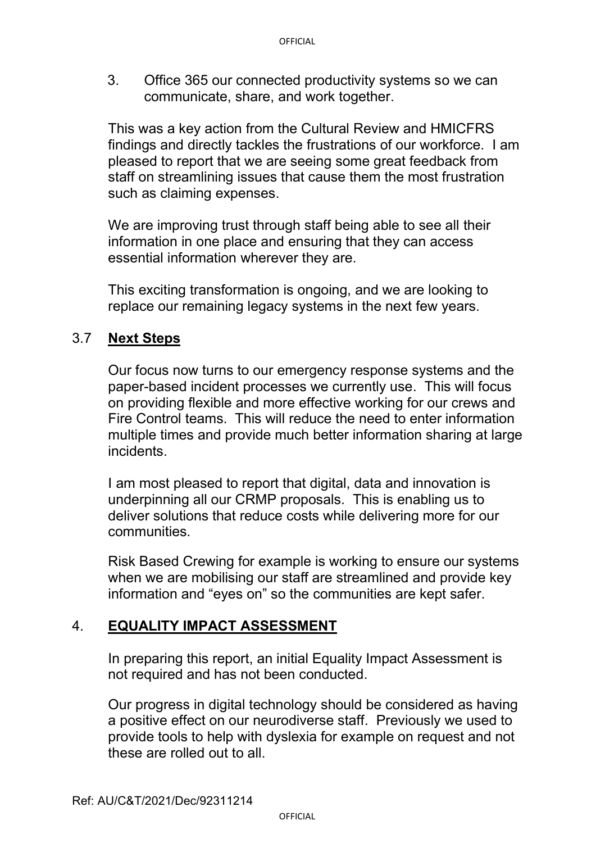3. Office 365 our connected productivity systems so we can communicate, share, and work together.

This was a key action from the Cultural Review and HMICFRS findings and directly tackles the frustrations of our workforce. I am pleased to report that we are seeing some great feedback from staff on streamlining issues that cause them the most frustration such as claiming expenses.

We are improving trust through staff being able to see all their information in one place and ensuring that they can access essential information wherever they are.

This exciting transformation is ongoing, and we are looking to replace our remaining legacy systems in the next few years.

## 3.7 **Next Steps**

Our focus now turns to our emergency response systems and the paper-based incident processes we currently use. This will focus on providing flexible and more effective working for our crews and Fire Control teams. This will reduce the need to enter information multiple times and provide much better information sharing at large incidents.

I am most pleased to report that digital, data and innovation is underpinning all our CRMP proposals. This is enabling us to deliver solutions that reduce costs while delivering more for our communities.

Risk Based Crewing for example is working to ensure our systems when we are mobilising our staff are streamlined and provide key information and "eyes on" so the communities are kept safer.

### 4. **EQUALITY IMPACT ASSESSMENT**

In preparing this report, an initial Equality Impact Assessment is not required and has not been conducted.

Our progress in digital technology should be considered as having a positive effect on our neurodiverse staff. Previously we used to provide tools to help with dyslexia for example on request and not these are rolled out to all.